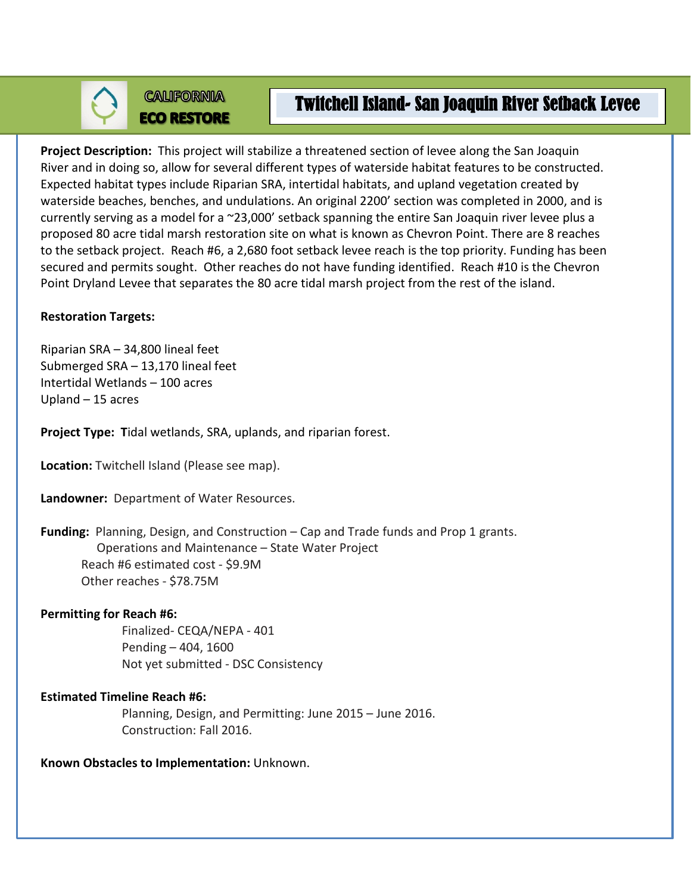**CALIFORNIA** 

# **ECO RESTORE**

# Twitchell Island- San Joaquin River Setback Levee

**Project Description:** This project will stabilize a threatened section of levee along the San Joaquin River and in doing so, allow for several different types of waterside habitat features to be constructed. Expected habitat types include Riparian SRA, intertidal habitats, and upland vegetation created by waterside beaches, benches, and undulations. An original 2200' section was completed in 2000, and is currently serving as a model for a ~23,000' setback spanning the entire San Joaquin river levee plus a proposed 80 acre tidal marsh restoration site on what is known as Chevron Point. There are 8 reaches to the setback project. Reach #6, a 2,680 foot setback levee reach is the top priority. Funding has been secured and permits sought. Other reaches do not have funding identified. Reach #10 is the Chevron Point Dryland Levee that separates the 80 acre tidal marsh project from the rest of the island.

# **Restoration Targets:**

Riparian SRA – 34,800 lineal feet Submerged SRA – 13,170 lineal feet Intertidal Wetlands – 100 acres Upland – 15 acres

**Project Type: T**idal wetlands, SRA, uplands, and riparian forest.

**Location:** Twitchell Island (Please see map).

**Landowner:** Department of Water Resources.

**Funding:** Planning, Design, and Construction – Cap and Trade funds and Prop 1 grants. Operations and Maintenance – State Water Project Reach #6 estimated cost - \$9.9M Other reaches - \$78.75M

### **Permitting for Reach #6:**

Finalized- CEQA/NEPA - 401 Pending – 404, 1600 Not yet submitted - DSC Consistency

# **Estimated Timeline Reach #6:**

Planning, Design, and Permitting: June 2015 – June 2016. Construction: Fall 2016.

**Known Obstacles to Implementation:** Unknown.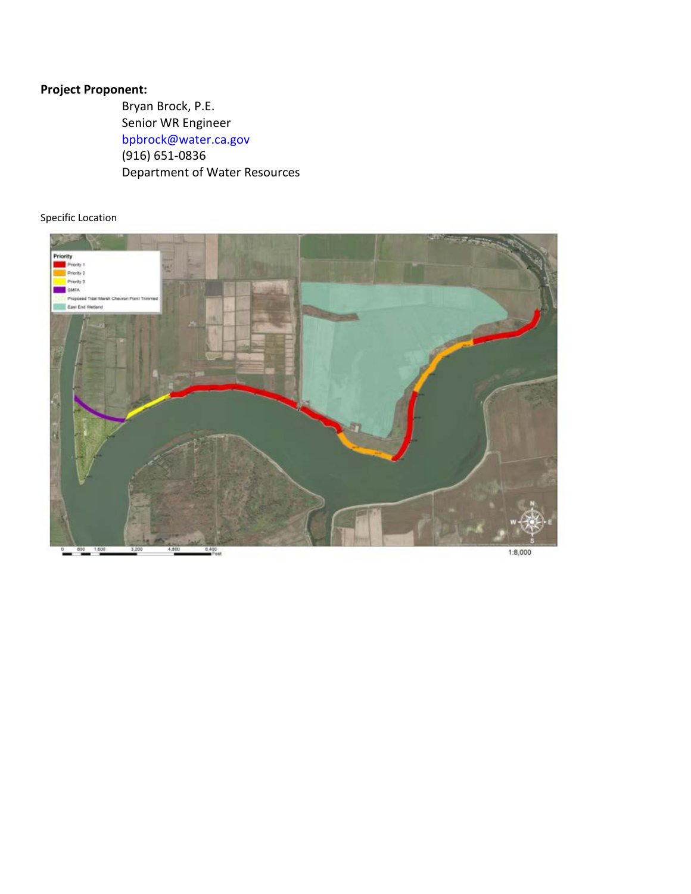#### **Project Proponent:**

Bryan Brock, P.E. Senior WR Engineer [bpbrock@water.ca.gov](mailto:bpbrock@water.ca.gov) (916) 651-0836 Department of Water Resources

#### Specific Location